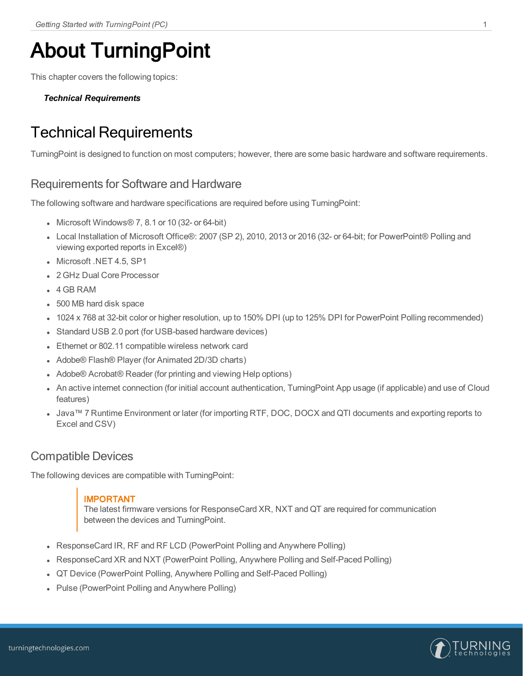# About TurningPoint

This chapter covers the following topics:

#### <span id="page-0-0"></span>*Technical [Requirements](#page-0-0)*

## Technical Requirements

TurningPoint is designed to function on most computers; however, there are some basic hardware and software requirements.

### Requirements for Software and Hardware

The following software and hardware specifications are required before using TurningPoint:

- Microsoft Windows $\mathcal{O}$  7, 8.1 or 10 (32- or 64-bit)
- Local Installation of Microsoft Office®: 2007 (SP 2), 2010, 2013 or 2016 (32- or 64-bit; for PowerPoint® Polling and viewing exported reports in Excel®)
- Microsoft .NET 4.5, SP1
- 2 GHz Dual Core Processor
- $-4$  GB RAM
- 500 MB hard disk space
- 1024 x 768 at 32-bit color or higher resolution, up to 150% DPI (up to 125% DPI for PowerPoint Polling recommended)
- Standard USB 2.0 port (for USB-based hardware devices)
- Ethernet or 802.11 compatible wireless network card
- Adobe® Flash® Player (for Animated 2D/3D charts)
- Adobe® Acrobat® Reader (for printing and viewing Help options)
- An active internet connection (for initial account authentication, TurningPoint App usage (if applicable) and use of Cloud features)
- Java™ 7 Runtime Environment or later (for importing RTF, DOC, DOCX and QTI documents and exporting reports to Excel and CSV)

### Compatible Devices

The following devices are compatible with TurningPoint:

### IMPORTANT

The latest firmware versions for ResponseCard XR, NXT and QT are required for communication between the devices and TurningPoint.

- ResponseCard IR, RF and RF LCD (PowerPoint Polling and Anywhere Polling)
- ResponseCard XR and NXT (PowerPoint Polling, Anywhere Polling and Self-Paced Polling)
- **QT Device (PowerPoint Polling, Anywhere Polling and Self-Paced Polling)**
- Pulse (PowerPoint Polling and Anywhere Polling)

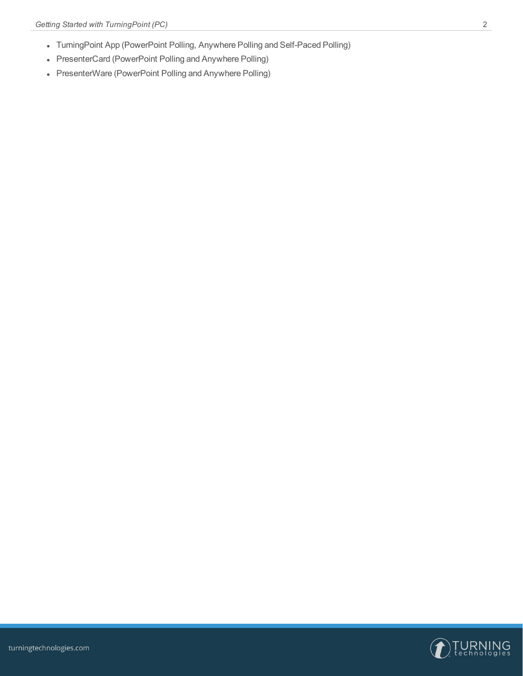- TurningPoint App (PowerPoint Polling, Anywhere Polling and Self-Paced Polling)
- PresenterCard (PowerPoint Polling and Anywhere Polling)
- PresenterWare (PowerPoint Polling and Anywhere Polling)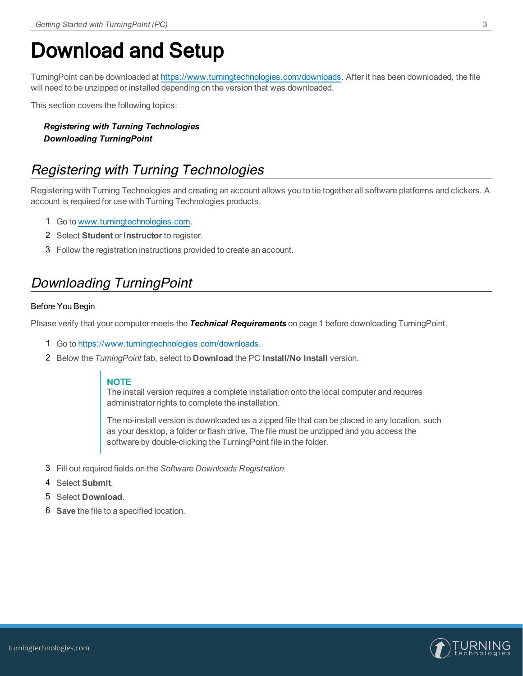## Download and Setup

TurningPoint can be downloaded at [https://www.turningtechnologies.com/downloads.](https://www.turningtechnologies.com/downloads) After it has been downloaded, the file will need to be unzipped or installed depending on the version that was downloaded.

This section covers the following topics:

### *Registering with Turning [Technologies](#page-2-0) [Downloading](#page-2-1) TurningPoint*

## <span id="page-2-0"></span>Registering with Turning Technologies

Registering with Turning Technologies and creating an account allows you to tie together all software platforms and clickers. A account is required for use with Turning Technologies products.

- 1 Go to [www.turningtechnologies.com.](https://www.turningtechnologies.com/)
- 2 Select **Student** or **Instructor** to register.
- 3 Follow the registration instructions provided to create an account.

### <span id="page-2-1"></span>Downloading TurningPoint

#### Before You Begin

Please verify that your computer meets the *Technical [Requirements](#page-0-0)* on page 1 before downloading TurningPoint.

- 1 Go to <https://www.turningtechnologies.com/downloads>.
- 2 Below the *TurningPoint* tab, select to **Download** the PC **Install/No Install** version.

#### **NOTE**

The install version requires a complete installation onto the local computer and requires administrator rights to complete the installation.

The no-install version is downloaded as a zipped file that can be placed in any location, such as your desktop, a folder or flash drive. The file must be unzipped and you access the software by double-clicking the TurningPoint file in the folder.

- 3 Fill out required fields on the *Software Downloads Registration*.
- 4 Select **Submit**.
- 5 Select **Download**.
- 6 **Save** the file to a specified location.